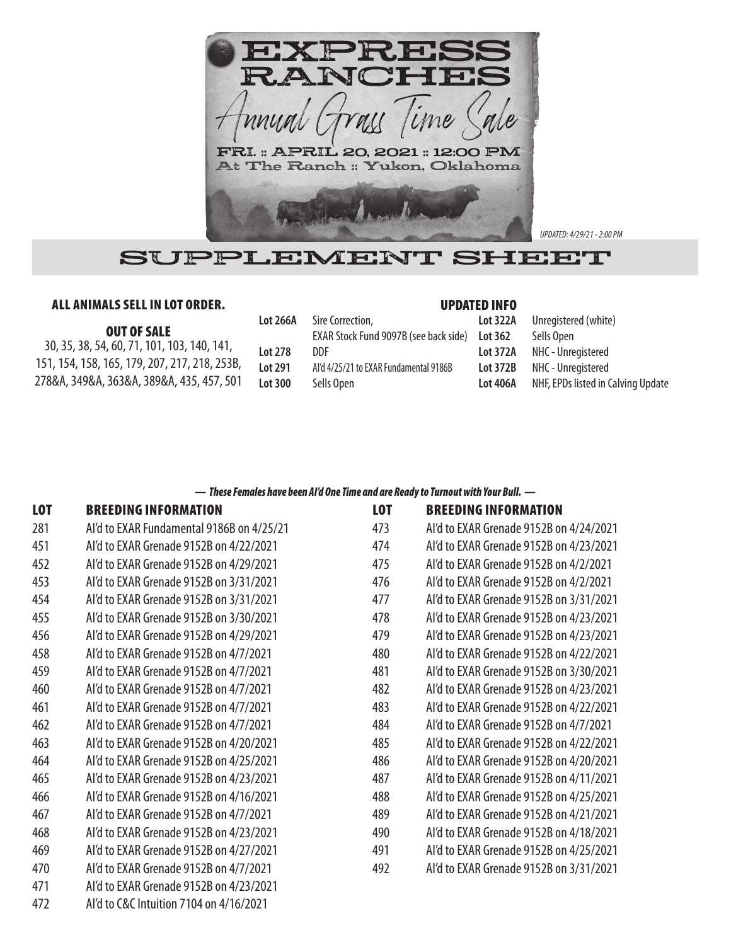

*UPDATED: 4/29/21 - 2:00 PM*

# SUPPLEMENT SHEET

## ALL ANIMALS SELL IN LOT ORDER.

#### UPDATED INFO

| <b>OUT OF SALE</b>                            |
|-----------------------------------------------|
| 30, 35, 38, 54, 60, 71, 101, 103, 140, 141,   |
| 151, 154, 158, 165, 179, 207, 217, 218, 253B, |
| 278&A, 349&A, 363&A, 389&A, 435, 457, 501     |

| <b>Lot 266A</b> | Sire Correction,<br>EXAR Stock Fund 9097B (see back side) | ı |
|-----------------|-----------------------------------------------------------|---|
| Lot 278         | DDE                                                       |   |
| Lot 291         | Al'd 4/25/21 to EXAR Fundamental 9186B                    | ı |
| Lot 300         | Sells Open                                                |   |
|                 |                                                           |   |

| Lot 322A        | Unregistered (white)               |
|-----------------|------------------------------------|
| Lot 362         | Sells Open                         |
| Lot 372A        | NHC - Unregistered                 |
| <b>Lot 372B</b> | NHC - Unregistered                 |
| Lot 406A        | NHF, EPDs listed in Calving Update |
|                 |                                    |

### *— These Females have been AI'd One Time and are Ready to Turnout with Your Bull. —*

| <b>LOT</b> | <b>BREEDING INFORMATION</b>               | <b>LOT</b> | <b>BREEDING INFORMATION</b>             |
|------------|-------------------------------------------|------------|-----------------------------------------|
| 281        | Al'd to EXAR Fundamental 9186B on 4/25/21 | 473        | Al'd to EXAR Grenade 9152B on 4/24/2021 |
| 451        | Al'd to EXAR Grenade 9152B on 4/22/2021   | 474        | Al'd to EXAR Grenade 9152B on 4/23/2021 |
| 452        | Al'd to EXAR Grenade 9152B on 4/29/2021   | 475        | Al'd to EXAR Grenade 9152B on 4/2/2021  |
| 453        | Al'd to EXAR Grenade 9152B on 3/31/2021   | 476        | Al'd to EXAR Grenade 9152B on 4/2/2021  |
| 454        | Al'd to EXAR Grenade 9152B on 3/31/2021   | 477        | Al'd to EXAR Grenade 9152B on 3/31/2021 |
| 455        | Al'd to EXAR Grenade 9152B on 3/30/2021   | 478        | Al'd to EXAR Grenade 9152B on 4/23/2021 |
| 456        | Al'd to EXAR Grenade 9152B on 4/29/2021   | 479        | Al'd to EXAR Grenade 9152B on 4/23/2021 |
| 458        | Al'd to EXAR Grenade 9152B on 4/7/2021    | 480        | Al'd to EXAR Grenade 9152B on 4/22/2021 |
| 459        | Al'd to EXAR Grenade 9152B on 4/7/2021    | 481        | Al'd to EXAR Grenade 9152B on 3/30/2021 |
| 460        | Al'd to EXAR Grenade 9152B on 4/7/2021    | 482        | Al'd to EXAR Grenade 9152B on 4/23/2021 |
| 461        | Al'd to EXAR Grenade 9152B on 4/7/2021    | 483        | Al'd to EXAR Grenade 9152B on 4/22/2021 |
| 462        | Al'd to EXAR Grenade 9152B on 4/7/2021    | 484        | Al'd to EXAR Grenade 9152B on 4/7/2021  |
| 463        | Al'd to EXAR Grenade 9152B on 4/20/2021   | 485        | Al'd to EXAR Grenade 9152B on 4/22/2021 |
| 464        | Al'd to EXAR Grenade 9152B on 4/25/2021   | 486        | Al'd to EXAR Grenade 9152B on 4/20/2021 |
| 465        | Al'd to EXAR Grenade 9152B on 4/23/2021   | 487        | Al'd to EXAR Grenade 9152B on 4/11/2021 |
| 466        | Al'd to EXAR Grenade 9152B on 4/16/2021   | 488        | Al'd to EXAR Grenade 9152B on 4/25/2021 |
| 467        | Al'd to EXAR Grenade 9152B on 4/7/2021    | 489        | Al'd to EXAR Grenade 9152B on 4/21/2021 |
| 468        | Al'd to EXAR Grenade 9152B on 4/23/2021   | 490        | Al'd to EXAR Grenade 9152B on 4/18/2021 |
| 469        | Al'd to EXAR Grenade 9152B on 4/27/2021   | 491        | Al'd to EXAR Grenade 9152B on 4/25/2021 |
| 470        | Al'd to EXAR Grenade 9152B on 4/7/2021    | 492        | Al'd to EXAR Grenade 9152B on 3/31/2021 |
| 471        | Al'd to EXAR Grenade 9152B on 4/23/2021   |            |                                         |
| 472        | Al'd to C&C Intuition 7104 on 4/16/2021   |            |                                         |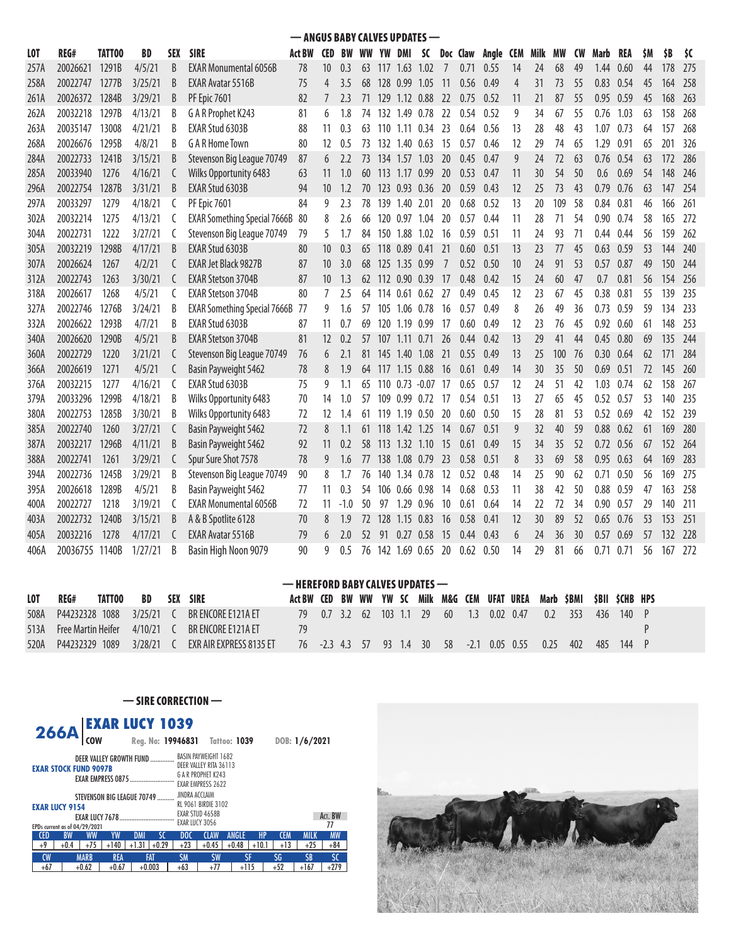— ANGUS BABY CALVES UPDATES — LOT REG# TATTOO BD SEX SIRE Act BW CED BW WW YW DMI SC Doc Claw Angle CEM Milk MW CW Marb REA \$M \$B \$C 257A 20026621 1291B 4/5/21 B EXAR Monumental 6056B 78 10 0.3 63 117 1.63 1.02 7 0.71 0.55 14 24 68 49 1.44 0.60 44 178 275 258A 20022747 1277B 3/25/21 B EXAR Avatar 5516B 75 4 3.5 68 128 0.99 1.05 11 0.56 0.49 4 31 73 55 0.83 0.54 45 164 258 261A 20026372 1284B 3/29/21 B PF Epic 7601 82 7 2.3 71 129 1.12 0.88 22 0.75 0.52 11 21 87 55 0.95 0.59 45 168 263 262A 20032218 1297B 4/13/21 B G A R Prophet K243 81 6 1.8 74 132 1.49 0.78 22 0.54 0.52 9 34 67 55 0.76 1.03 63 158 268 263A 20035147 13008 4/21/21 B EXAR Stud 6303B 88 11 0.3 63 110 1.11 0.34 23 0.64 0.56 13 28 48 43 1.07 0.73 64 157 268 268A 20026676 1295B 4/8/21 B G A R Home Town 80 12 0.5 73 132 1.40 0.63 15 0.57 0.46 12 29 74 65 1.29 0.91 65 201 326 284A 20022733 1241B 3/15/21 B Stevenson Big League 70749 87 6 2.2 73 134 1.57 1.03 20 0.45 0.47 9 24 72 63 0.76 0.54 63 172 286 285A 20033940 1276 4/16/21 C Wilks Opportunity 6483 63 11 1.0 60 113 1.17 0.99 20 0.53 0.47 11 30 54 50 0.6 0.69 54 148 246 296A 20022754 1287B 3/31/21 B EXAR Stud 6303B 94 10 1.2 70 123 0.93 0.36 20 0.59 0.43 12 25 73 43 0.79 0.76 63 147 254 297A 20033297 1279 4/18/21 C PF Epic 7601 84 9 2.3 78 139 1.40 2.01 20 0.68 0.52 13 20 109 58 0.84 0.81 46 166 261 302A 20032214 1275 4/13/21 C EXAR Something Special 7666B 80 8 2.6 66 120 0.97 1.04 20 0.57 0.44 11 28 71 54 0.90 0.74 58 165 272 304A 20022731 1222 3/27/21 C Stevenson Big League 70749 79 5 1.7 84 150 1.88 1.02 16 0.59 0.51 11 24 93 71 0.44 0.44 56 159 262 305A 20032219 1298B 4/17/21 B EXAR<code>Stud</code> 6303B 80 10 0.3 65 118 0.89 0.41 21 0.60 0.51 13 23 77 45 0.63 0.59 53 144 240 307A 20026624 1267 4/2/21 C EXAR Jet Black 9827B 87 10 3.0 68 125 1.35 0.99 7 0.52 0.50 10 24 91 53 0.57 0.87 49 150 244 312A 20022743 1263 3/30/21 C EXAR Stetson 3704B 87 10 1.3 62 112 0.90 0.39 17 0.48 0.42 15 24 60 47 0.7 0.81 56 154 256 318A 20026617 1268 4/5/21 C EXAR Stetson 3704B 80 7 2.5 64 114 0.61 0.62 27 0.49 0.45 12 23 67 45 0.38 0.81 55 139 235 327A 20022746 1276B 3/24/21 B EXAR Something Special 7666B 77 9 1.6 57 105 1.06 0.78 16 0.57 0.49 8 26 49 36 0.73 0.59 59 134 233 332A 20026622 1293B 4/7/21 B EXAR Stud 6303B 87 11 0.7 69 120 1.19 0.99 17 0.60 0.49 12 23 76 45 0.92 0.60 61 148 253 340A 20026620 1290B 4/5/21 B EXAR Stetson 3704B 81 12 0.2 57 107 1.11 0.71 26 0.44 0.42 13 29 41 44 0.45 0.80 69 135 244 360A 20022729 1220 3/21/21 C Stevenson Big League 70749 76 6 2.1 81 145 1.40 1.08 21 0.55 0.49 13 25 100 76 0.30 0.64 62 171 284 366A 20026619 1271 4/5/21 C Basin Payweight 5462 78 8 1.9 64 117 1.15 0.88 16 0.61 0.49 14 30 35 50 0.69 0.51 72 145 260 376A 20032215 1277 4/16/21 C EXAR Stud 6303B 75 9 1.1 65 110 0.73 -0.07 17 0.65 0.57 12 24 51 42 1.03 0.74 62 158 267 379A 20033296 1299B 4/18/21 B Wilks Opportunity 6483 70 14 1.0 57 109 0.99 0.72 17 0.54 0.51 13 27 65 45 0.52 0.57 53 140 235 380A 20022753 1285B 3/30/21 B Wilks Opportunity 6483 72 12 1.4 61 119 1.19 0.50 20 0.60 0.50 15 28 81 53 0.52 0.69 42 152 239 385A 20022740 1260 3/27/21 C Basin Payweight 5462 72 8 1.1 61 118 1.42 1.25 14 0.67 0.51 9 32 40 59 0.88 0.62 61 169 280 387A 20032217 1296B 4/11/21 B Basin Payweight 5462 92 11 0.2 58 113 1.32 1.10 15 0.61 0.49 15 34 35 52 0.72 0.56 67 152 264 388A 20022741 1261 3/29/21 C Spur Sure Shot 7578 78 9 1.6 77 138 1.08 0.79 23 0.58 0.51 8 33 69 58 0.95 0.63 64 169 283 394A 20022736 1245B 3/29/21 B Stevenson Big League 70749 90 8 1.7 76 140 1.34 0.78 12 0.52 0.48 14 25 90 62 0.71 0.50 56 169 275 395A 20026618 1289B 4/5/21 B Basin Payweight 5462 77 11 0.3 54 106 0.66 0.98 14 0.68 0.53 11 38 42 50 0.88 0.59 47 163 258 400A 20022727 1218 3/19/21 C EXAR Monumental 6056B 72 11 -1.0 50 97 1.29 0.96 10 0.61 0.64 14 22 72 34 0.90 0.57 29 140 211 403A 20022732 1240B 3/15/21 B A & B Spotlite 6128 70 8 1.9 72 128 1.15 0.83 16 0.58 0.41 12 30 89 52 0.65 0.76 53 153 251 405A 20032216 1278 4/17/21 C EXAR Avatar 5516B 79 6 2.0 52 91 0.27 0.58 15 0.44 0.43 6 24 36 30 0.57 0.69 57 132 228 406A 20036755 1140B 1/27/21 B Basin High Noon 9079 90 9 0.5 76 142 1.69 0.65 20 0.62 0.50 14 29 81 66 0.71 0.71 56 167 272

|            | — HEREFORD BABY CALVES UPDATES — |        |             |     |                         |                                                                          |  |  |  |  |  |                  |  |                                                 |                 |     |       |  |
|------------|----------------------------------|--------|-------------|-----|-------------------------|--------------------------------------------------------------------------|--|--|--|--|--|------------------|--|-------------------------------------------------|-----------------|-----|-------|--|
| <b>LOT</b> | REG#                             | TATT00 | BD          | SEX | <b>SIRE</b>             | Act BW CED BW WW YW SC Milk M&G CEM UFAT UREA Marb \$BMI \$BII \$CHB HPS |  |  |  |  |  |                  |  |                                                 |                 |     |       |  |
| 508A       | P44232328 1088                   |        | $3/25/21$ ( |     | BR FNCORF F121A FT      | 79  0.7  3.2  62  103  1.1  29                                           |  |  |  |  |  | 60 1.3 0.02 0.47 |  |                                                 | $0.2 \quad 353$ | 436 | 140 P |  |
|            | 513A Free Martin Heifer          |        | 4/10/21     |     | BR FNCORF F121A FT      | 79                                                                       |  |  |  |  |  |                  |  |                                                 |                 |     |       |  |
| 520A       | P44232329 1089                   |        | 3/28/21     |     | FXR AIR EXPRESS 8135 FT |                                                                          |  |  |  |  |  |                  |  | 76 -2.3 4.3 57 93 1.4 30 58 -2.1 0.05 0.55 0.25 | 402             | 485 | 144 P |  |

#### — SIRE CORRECTION —

| <b>266A</b><br><b>COW</b>                              | <b>EXAR LUCY 1039</b>    | Reg. No: 19946831 Tattoo: 1039 |                      |                         | DOB: 1/6/2021            |  |  |  |  |  |  |
|--------------------------------------------------------|--------------------------|--------------------------------|----------------------|-------------------------|--------------------------|--|--|--|--|--|--|
|                                                        |                          |                                |                      |                         |                          |  |  |  |  |  |  |
| <b>BASIN PAYWEIGHT 1682</b><br>DEER VALLEY GROWTH FUND |                          |                                |                      |                         |                          |  |  |  |  |  |  |
| DEER VALLEY RITA 36113<br><b>EXAR STOCK FUND 9097B</b> |                          |                                |                      |                         |                          |  |  |  |  |  |  |
|                                                        | EXAR EMPRESS 0875        | G A R PROPHET K243             |                      |                         |                          |  |  |  |  |  |  |
|                                                        |                          | <b>EXAR EMPRESS 2622</b>       |                      |                         |                          |  |  |  |  |  |  |
| JINDRA ACCLAIM<br>STEVENSON BIG LEAGUE 70749           |                          |                                |                      |                         |                          |  |  |  |  |  |  |
| RL 9061 BIRDIE 3102<br><b>EXAR LUCY 9154</b>           |                          |                                |                      |                         |                          |  |  |  |  |  |  |
| EXAR STUD 4658B<br>Act. BW                             |                          |                                |                      |                         |                          |  |  |  |  |  |  |
| EXAR LUCY 3056<br>77<br>EPDs current as of 04/29/2021  |                          |                                |                      |                         |                          |  |  |  |  |  |  |
| <b>CED</b><br><b>BW</b><br><b>WW</b><br>YW             | SC<br><b>DMI</b>         | DOC                            | ANGLE<br><b>CLAW</b> | <b>HP</b><br><b>CEM</b> | <b>MW</b><br><b>MILK</b> |  |  |  |  |  |  |
| $+75$<br>$+9$<br>$+0.4$<br>$+140$                      | $+0.29$<br>$+1.31$       | $+23$                          | $+0.48$<br>$+0.45$   | $+13$<br>$+10.1$        | $+25$<br>$+84$           |  |  |  |  |  |  |
| <b>CW</b><br><b>MARB</b>                               | <b>REA</b><br><b>FAT</b> | <b>SM</b>                      | <b>SW</b>            | ŜF<br>ŚG                | <b>SB</b><br>\$C         |  |  |  |  |  |  |
| $+67$<br>$+0.62$<br>$+0.67$                            | $+0.003$                 | $+63$                          | $+77$<br>$+115$      | $+52$                   | $+279$<br>$+167$         |  |  |  |  |  |  |